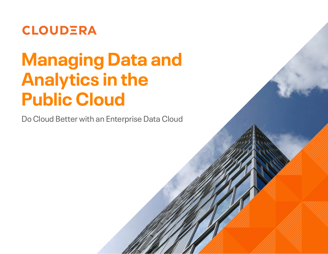

## **Managing Data and Analytics in the Public Cloud**

Do Cloud Better with an Enterprise Data Cloud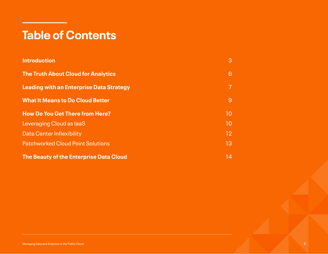## **Table of Contents**

| <b>Introduction</b>                             | 3  |
|-------------------------------------------------|----|
| <b>The Truth About Cloud for Analytics</b>      | 6  |
| <b>Leading with an Enterprise Data Strategy</b> | 7  |
| <b>What It Means to Do Cloud Better</b>         | 9  |
| <b>How Do You Get There from Here?</b>          | 10 |
| Leveraging Cloud as laaS                        | 10 |
| Data Center Inflexibility                       | 12 |
| <b>Patchworked Cloud Point Solutions</b>        | 13 |
| The Beauty of the Enterprise Data Cloud         | 14 |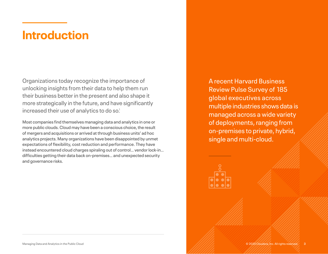## <span id="page-2-0"></span>**Introduction**

Organizations today recognize the importance of unlocking insights from their data to help them run their business better in the present and also shape it more strategically in the future, and have significantly increased their use of analytics to do so.<sup>1</sup>

Most companies find themselves managing data and analytics in one or more public clouds. Cloud may have been a conscious choice, the result of mergers and acquisitions or arrived at through business units' ad hoc analytics projects. Many organizations have been disappointed by unmet expectations of flexibility, cost reduction and performance. They have instead encountered cloud charges spiraling out of control… vendor lock-in… difficulties getting their data back on-premises… and unexpected security and governance risks.

A recent Harvard Business Review Pulse Survey of 185 global executives across multiple industries shows data is managed across a wide variety of deployments, ranging from on-premises to private, hybrid, single and multi-cloud.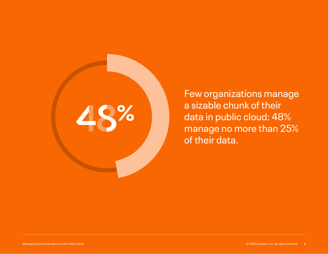

Few organizations manage a sizable chunk of their data in public cloud: 48% manage no more than 25% of their data.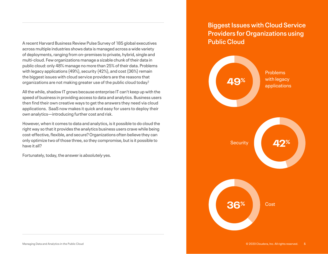A recent Harvard Business Review Pulse Survey of 185 global executives across multiple industries shows data is managed across a wide variety of deployments, ranging from on-premises to private, hybrid, single and multi-cloud. Few organizations manage a sizable chunk of their data in public cloud: only 48% manage no more than 25% of their data. Problems with legacy applications (49%), security (42%), and cost (36%) remain the biggest issues with cloud service providers are the reasons that organizations are not making greater use of the public cloud today.2

All the while, shadow IT grows because enterprise IT can't keep up with the speed of business in providing access to data and analytics. Business users then find their own creative ways to get the answers they need via cloud applications. SaaS now makes it quick and easy for users to deploy their own analytics—introducing further cost and risk.

However, when it comes to data and analytics, is it possible to do cloud the right way so that it provides the analytics business users crave while being cost-effective, flexible, and secure? Organizations often believe they can only optimize two of those three, so they compromise, but is it possible to have it all?

Fortunately, today, the answer is *absolutely* yes.

#### **Biggest Issues with Cloud Service Providers for Organizations using Public Cloud**

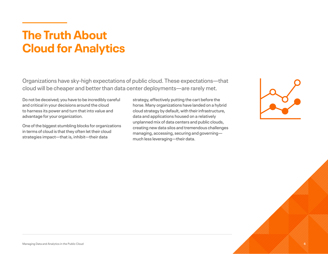## <span id="page-5-0"></span>**The Truth About Cloud for Analytics**

Organizations have sky-high expectations of public cloud. These expectations—that cloud will be cheaper and better than data center deployments—are rarely met.

Do not be deceived; you have to be incredibly careful and critical in your decisions around the cloud to harness its power and turn that into value and advantage for your organization.

One of the biggest stumbling blocks for organizations in terms of cloud is that they often let their cloud strategies impact—that is, inhibit—their data

strategy, effectively putting the cart before the horse. Many organizations have landed on a hybrid cloud strategy by default, with their infrastructure, data and applications housed on a relatively unplanned mix of data centers and public clouds, creating new data silos and tremendous challenges managing, accessing, securing and governing much less leveraging—their data.

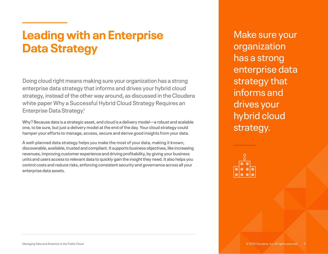## <span id="page-6-0"></span>**Leading with an Enterprise Data Strategy**

Doing cloud right means making sure your organization has a strong enterprise data strategy that informs and drives your hybrid cloud strategy, instead of the other way around, as discussed in the Cloudera white paper Why a Successful Hybrid Cloud Strategy Requires an Enterprise Data Strategy.<sup>3</sup>

Why? Because data is a strategic asset, and cloud is a delivery model—a robust and scalable one, to be sure, but just a delivery model at the end of the day. Your cloud strategy could hamper your efforts to manage, access, secure and derive good insights from your data.

A well-planned data strategy helps you make the most of your data, making it known, discoverable, available, trusted and compliant. It supports business objectives, like increasing revenues, improving customer experience and driving profitability, by giving your business units and users access to relevant data to quickly gain the insight they need. It also helps you control costs and reduce risks, enforcing consistent security and governance across all your enterprise data assets.

Make sure your organization has a strong enterprise data strategy that informs and drives your hybrid cloud strategy.

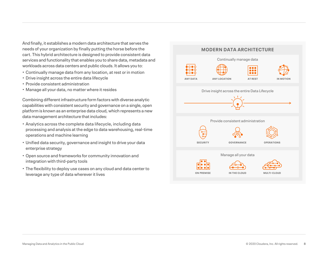And finally, it establishes a modern data architecture that serves the needs of your organization by finally putting the horse before the cart. This hybrid architecture is designed to provide consistent data services and functionality that enables you to share data, metadata and workloads across data centers and public clouds. It allows you to:

- Continually manage data from any location, at rest or in motion
- Drive insight across the entire data lifecycle
- Provide consistent administration
- Manage all your data, no matter where it resides

Combining different infrastructure form factors with diverse analytic capabilities with consistent security and governance on a single, open platform is known as an enterprise data cloud, which represents a new data management architecture that includes:

- Analytics across the complete data lifecycle, including data processing and analysis at the edge to data warehousing, real-time operations and machine learning
- Unified data security, governance and insight to drive your data enterprise strategy
- Open source and frameworks for community innovation and integration with third-party tools
- The flexibility to deploy use cases on any cloud and data center to leverage any type of data wherever it lives

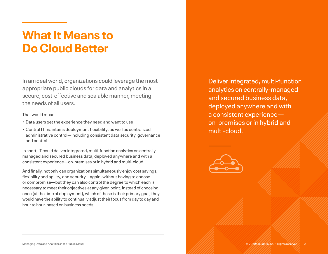## <span id="page-8-0"></span>**What It Means to Do Cloud Better**

In an ideal world, organizations could leverage the most appropriate public clouds for data and analytics in a secure, cost-effective and scalable manner, meeting the needs of all users.

That would mean:

- Data users get the experience they need and want to use
- Central IT maintains deployment flexibility, as well as centralized administrative control—including consistent data security, governance and control

In short, IT could deliver integrated, multi-function analytics on centrallymanaged and secured business data, deployed anywhere and with a consistent experience—on-premises or in hybrid and multi-cloud.

And finally, not only can organizations simultaneously enjoy cost savings, flexibility and agility, and security—again, without having to choose or compromise—but they can also control the degree to which each is necessary to meet their objectives at any given point. Instead of choosing once (at the time of deployment), which of those is their primary goal, they would have the ability to continually adjust their focus from day to day and hour to hour, based on business needs.

Deliver integrated, multi-function analytics on centrally-managed and secured business data, deployed anywhere and with a consistent experience on-premises or in hybrid and multi-cloud.

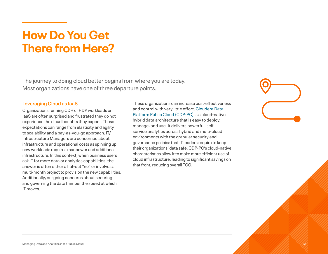## <span id="page-9-0"></span>**How Do You Get There from Here?**

The journey to doing cloud better begins from where you are today. Most organizations have one of three departure points.

#### <span id="page-9-1"></span>**Leveraging Cloud as IaaS**

Organizations running CDH or HDP workloads on IaaS are often surprised and frustrated they do not experience the cloud benefits they expect. These expectations can range from elasticity and agility to scalability and a pay-as-you-go approach. IT/ Infrastructure Managers are concerned about infrastructure and operational costs as spinning up new workloads requires manpower and additional infrastructure. In this context, when business users ask IT for more data or analytics capabilities, the answer is often either a flat-out "no" or involves a multi-month project to provision the new capabilities. Additionally, on-going concerns about securing and governing the data hamper the speed at which IT moves.

These organizations can increase cost-effectiveness and control with very little effort. [Cloudera Data](https://www.cloudera.com/products/discover-cloudera-data-platform.html#?utm_medium=asset&utm_source=ebook&keyplay=CDP&utm_campaign=DoCloudBetter&cid=DoCloudBetter)  [Platform Public Cloud \(CDP-PC\)](https://www.cloudera.com/products/discover-cloudera-data-platform.html#?utm_medium=asset&utm_source=ebook&keyplay=CDP&utm_campaign=DoCloudBetter&cid=DoCloudBetter) is a cloud-native hybrid data architecture that is easy to deploy, manage, and use. It delivers powerful, selfservice analytics across hybrid and multi-cloud environments with the granular security and governance policies that IT leaders require to keep their organizations' data safe. CDP-PC's cloud-native characteristics allow it to make more efficient use of cloud infrastructure, leading to significant savings on that front, reducing overall TCO.

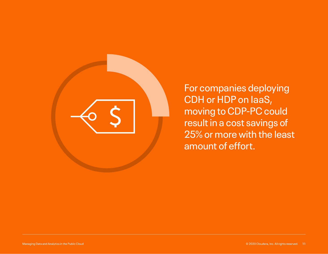

For companies deploying CDH or HDP on IaaS, moving to CDP-PC could result in a cost savings of 25% or more with the least amount of effort.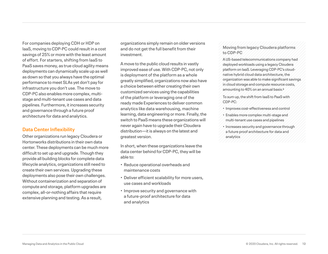For companies deploying CDH or HDP on IaaS, moving to CDP-PC could result in a cost savings of 25% or more with the least amount of effort. For starters, shifting from IaaS to PaaS saves money, as true cloud agility means deployments can dynamically scale up as well as down so that you always have the optimal performance to meet SLAs yet don't pay for infrastructure you don't use. The move to CDP-PC also enables more complex, multistage and multi-tenant use cases and data pipelines. Furthermore, it increases security and governance through a future proof architecture for data and analytics.

#### <span id="page-11-0"></span>**Data Center Inflexibility**

Other organizations run legacy Cloudera or Hortonworks distributions in their own data center. These deployments can be much more difficult to set up and upgrade. Though they provide all building blocks for complete data lifecycle analytics, organizations still need to create their own services. Upgrading these deployments also pose their own challenges. Without containerization and separation of compute and storage, platform upgrades are complex, all-or-nothing affairs that require extensive planning and testing. As a result,

organizations simply remain on older versions and do not get the full benefit from their investment.

A move to the public cloud results in vastly improved ease of use. With CDP-PC, not only is deployment of the platform as a whole greatly simplified, organizations now also have a choice between either creating their own customized services using the capabilities of the platform or leveraging one of the ready made Experiences to deliver common analytics like data warehousing, machine learning, data engineering or more. Finally, the switch to PaaS means these organizations will never again have to upgrade their Cloudera distribution—it is always on the latest and greatest version.

In short, when these organizations leave the data center behind for CDP-PC, they will be able to:

- Reduce operational overheads and maintenance costs
- Deliver efficient scalability for more users, use cases and workloads
- Improve security and governance with a future-proof architecture for data and analytics

#### **Moving from legacy Cloudera platforms to CDP-PC**

A US-based telecommunications company had deployed workloads using a legacy Cloudera platform on IaaS. Leveraging CDP-PC's cloudnative hybrid cloud data architecture, the organization was able to make significant savings in cloud storage and compute resource costs, amounting to 40% on an annual basis.4

To sum up, the shift from IaaS to PaaS with CDP-PC:

- Improves cost-effectiveness and control
- Enables more complex multi-stage and multi-tenant use cases and pipelines
- Increases security and governance through a future proof architecture for data and analytics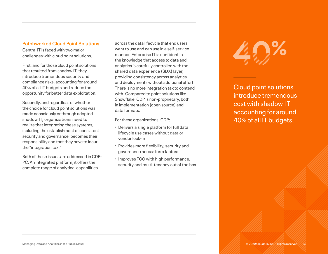#### <span id="page-12-0"></span>**Patchworked Cloud Point Solutions**

Central IT is faced with two major challenges with cloud point solutions.

First, and for those cloud point solutions that resulted from shadow IT, they introduce tremendous security and compliance risks, accounting for around 40% of all IT budgets and reduce the opportunity for better data exploitation.

Secondly, and regardless of whether the choice for cloud point solutions was made consciously or through adopted shadow IT, organizations need to realize that integrating these systems, including the establishment of consistent security and governance, becomes their responsibility and that they have to incur the "integration tax."

Both of these issues are addressed in CDP-PC. An integrated platform, it offers the complete range of analytical capabilities

across the data lifecycle that end users want to use and can use in a self-service manner. Enterprise IT is confident in the knowledge that access to data and analytics is carefully controlled with the shared data experience (SDX) layer, providing consistency across analytics and deployments without additional effort. There is no more integration tax to contend with. Compared to point solutions like Snowflake, CDP is non-proprietary, both in implementation (open source) and data formats.

For these organizations, CDP:

- Delivers a single platform for full data lifecycle use cases without data or vendor lock-in
- Provides more flexibility, security and governance across form factors
- Improves TCO with high performance, security and multi-tenancy out of the box

# 40**%**

Cloud point solutions introduce tremendous cost with shadow IT accounting for around 40% of all IT budgets.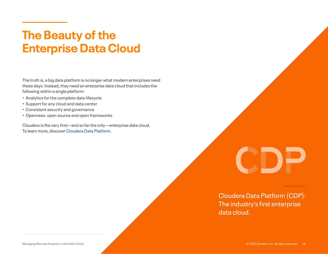## <span id="page-13-0"></span>**The Beauty of the Enterprise Data Cloud**

The truth is, a big data platform is no longer what modern enterprises need these days. Instead, they need an enterprise data cloud that includes the following within a single platform:

- Analytics for the complete data lifecycle
- Support for any cloud and data center
- Consistent security and governance
- Openness: open source and open frameworks

Cloudera is the very first—and so far the only—enterprise data cloud. To learn more, discover [Cloudera Data Platform](https://www.cloudera.com/products/discover-cloudera-data-platform.html#?utm_medium=asset&utm_source=ebook&keyplay=CDP&utm_campaign=DoCloudBetter&cid=DoCloudBetter).



Cloudera Data Platform (CDP): The industry's first enterprise data cloud.